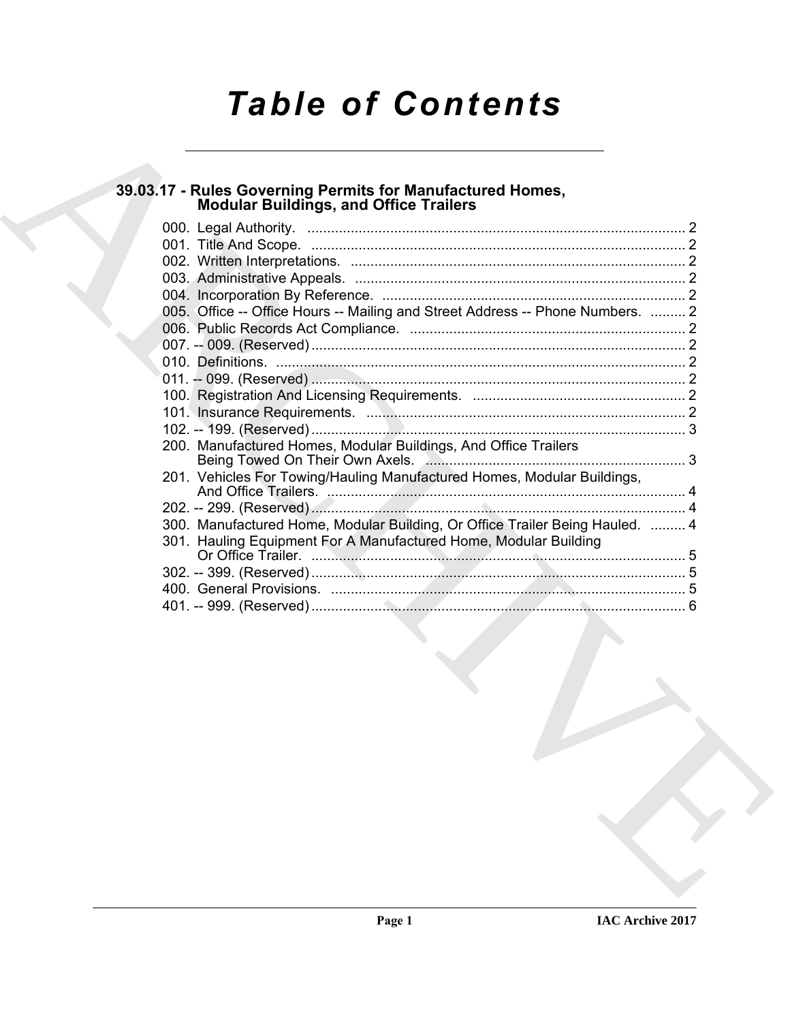# *Table of Contents*

# **39.03.17 - Rules Governing Permits for Manufactured Homes, Modular Buildings, and Office Trailers**

| <b>Modular Buildings, and Office Trailers</b>                                  |  |
|--------------------------------------------------------------------------------|--|
|                                                                                |  |
|                                                                                |  |
|                                                                                |  |
|                                                                                |  |
| 005. Office -- Office Hours -- Mailing and Street Address -- Phone Numbers.  2 |  |
|                                                                                |  |
|                                                                                |  |
|                                                                                |  |
|                                                                                |  |
|                                                                                |  |
|                                                                                |  |
|                                                                                |  |
| 200. Manufactured Homes, Modular Buildings, And Office Trailers                |  |
| 201. Vehicles For Towing/Hauling Manufactured Homes, Modular Buildings,        |  |
|                                                                                |  |
|                                                                                |  |
| 300. Manufactured Home, Modular Building, Or Office Trailer Being Hauled.  4   |  |
| 301. Hauling Equipment For A Manufactured Home, Modular Building               |  |
|                                                                                |  |
|                                                                                |  |
|                                                                                |  |
|                                                                                |  |
|                                                                                |  |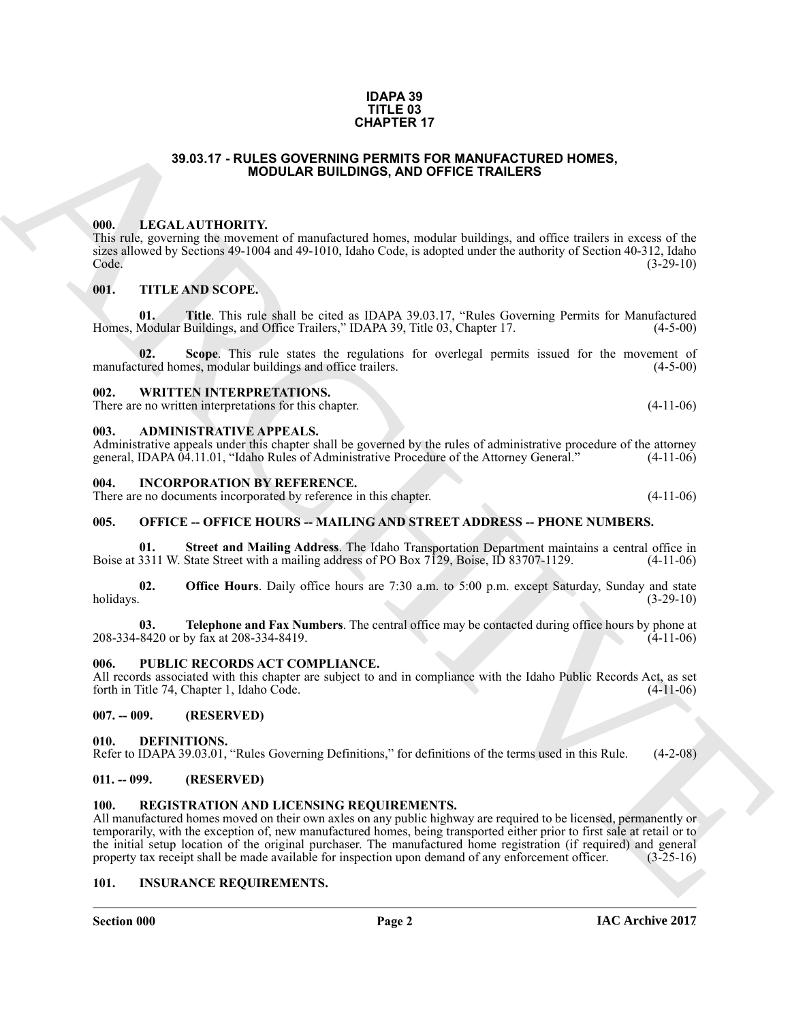#### **IDAPA 39 TITLE 03 CHAPTER 17**

### **39.03.17 - RULES GOVERNING PERMITS FOR MANUFACTURED HOMES, MODULAR BUILDINGS, AND OFFICE TRAILERS**

#### <span id="page-1-1"></span><span id="page-1-0"></span>**000. LEGAL AUTHORITY.**

This rule, governing the movement of manufactured homes, modular buildings, and office trailers in excess of the sizes allowed by Sections 49-1004 and 49-1010, Idaho Code, is adopted under the authority of Section 40-312, Idaho Code.<br>(3-29-10) Code. (3-29-10)

#### <span id="page-1-2"></span>**001. TITLE AND SCOPE.**

**01.** Title. This rule shall be cited as IDAPA 39.03.17, "Rules Governing Permits for Manufactured Modular Buildings, and Office Trailers," IDAPA 39. Title 03, Chapter 17. (4-5-00) Homes, Modular Buildings, and Office Trailers," IDAPA 39, Title 03, Chapter 17.

**02.** Scope. This rule states the regulations for overlegal permits issued for the movement of tured homes, modular buildings and office trailers. (4-5-00) manufactured homes, modular buildings and office trailers.

#### <span id="page-1-3"></span>**002. WRITTEN INTERPRETATIONS.**

There are no written interpretations for this chapter. (4-11-06)

#### <span id="page-1-4"></span>**003. ADMINISTRATIVE APPEALS.**

Administrative appeals under this chapter shall be governed by the rules of administrative procedure of the attorney general, IDAPA 04.11.01, "Idaho Rules of Administrative Procedure of the Attorney General." (4-11-06) general, IDAPA 04.11.01, "Idaho Rules of Administrative Procedure of the Attorney General."

#### <span id="page-1-5"></span>**004. INCORPORATION BY REFERENCE.**

There are no documents incorporated by reference in this chapter. (4-11-06)

#### <span id="page-1-6"></span>**005. OFFICE -- OFFICE HOURS -- MAILING AND STREET ADDRESS -- PHONE NUMBERS.**

**01. Street and Mailing Address**. The Idaho Transportation Department maintains a central office in 3311 W. State Street with a mailing address of PO Box 7129, Boise, ID 83707-1129. (4-11-06) Boise at 3311 W. State Street with a mailing address of PO Box 7129, Boise, ID 83707-1129.

**02. Office Hours**. Daily office hours are 7:30 a.m. to 5:00 p.m. except Saturday, Sunday and state holidays. (3-29-10) holidays. (3-29-10)

**03. Telephone and Fax Numbers**. The central office may be contacted during office hours by phone at 8420 or by fax at 208-334-8419. 208-334-8420 or by fax at 208-334-8419.

#### <span id="page-1-7"></span>**006. PUBLIC RECORDS ACT COMPLIANCE.**

All records associated with this chapter are subject to and in compliance with the Idaho Public Records Act, as set forth in Title 74, Chapter 1, Idaho Code. (4-11-06) forth in Title 74, Chapter 1, Idaho Code.

### <span id="page-1-8"></span>**007. -- 009. (RESERVED)**

#### <span id="page-1-13"></span><span id="page-1-9"></span>**010. DEFINITIONS.**

Refer to IDAPA 39.03.01, "Rules Governing Definitions," for definitions of the terms used in this Rule. (4-2-08)

#### <span id="page-1-10"></span>**011. -- 099. (RESERVED)**

#### <span id="page-1-15"></span><span id="page-1-11"></span>**100. REGISTRATION AND LICENSING REQUIREMENTS.**

**39.03.17 - RULES COVERNING CHAPTER 171**<br> **CHAPTER 2001 - RULES COVERNING PERMITS CONVENIENCE (SOMETIME DE CONVENIENCE DE CONVENIENCE DE CONVENIENCE DE CONVENIENCE DE CONVENIENCE DE CONVENIENCE DE CONVENIENCE DE CONVENIEN** All manufactured homes moved on their own axles on any public highway are required to be licensed, permanently or temporarily, with the exception of, new manufactured homes, being transported either prior to first sale at retail or to the initial setup location of the original purchaser. The manufactured home registration (if required) and general property tax receipt shall be made available for inspection upon demand of any enforcement officer. (3-25-1 property tax receipt shall be made available for inspection upon demand of any enforcement officer.

#### <span id="page-1-14"></span><span id="page-1-12"></span>**101. INSURANCE REQUIREMENTS.**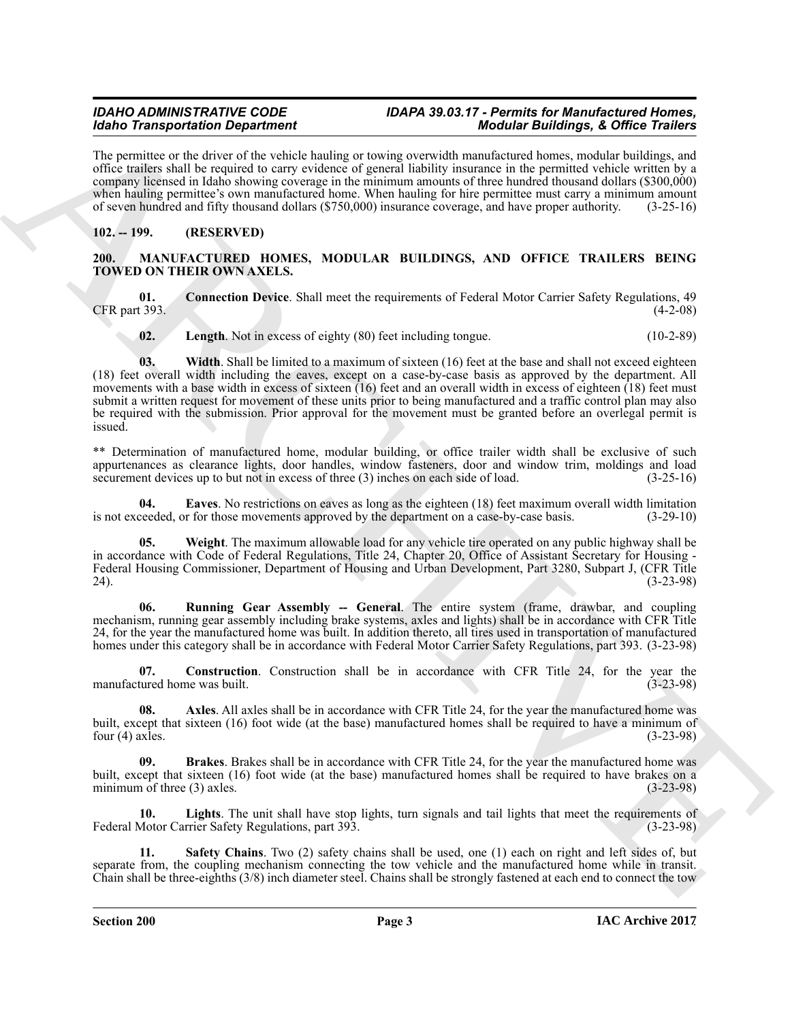### *IDAHO ADMINISTRATIVE CODE IDAPA 39.03.17 - Permits for Manufactured Homes, Idaho Transportation Department Modular Buildings, & Office Trailers*

The permittee or the driver of the vehicle hauling or towing overwidth manufactured homes, modular buildings, and office trailers shall be required to carry evidence of general liability insurance in the permitted vehicle written by a company licensed in Idaho showing coverage in the minimum amounts of three hundred thousand dollars (\$300,000) when hauling permittee's own manufactured home. When hauling for hire permittee must carry a minimum amount of seven hundred and fifty thousand dollars (\$750,000) insurance coverage, and have proper authority. (3-25-16)

## <span id="page-2-0"></span>**102. -- 199. (RESERVED)**

#### <span id="page-2-2"></span><span id="page-2-1"></span>**200. MANUFACTURED HOMES, MODULAR BUILDINGS, AND OFFICE TRAILERS BEING TOWED ON THEIR OWN AXELS.**

**01. Connection Device**. Shall meet the requirements of Federal Motor Carrier Safety Regulations, 49 CFR part 393.

<span id="page-2-13"></span><span id="page-2-8"></span><span id="page-2-5"></span>**02.** Length. Not in excess of eighty (80) feet including tongue. (10-2-89)

Moto Transmission Department<br>
2. Lie pranudace also the statistically the system proceeds manifested bases, and the system of the system of the system of the system of the system of the system of the system of the system **03.** Width. Shall be limited to a maximum of sixteen (16) feet at the base and shall not exceed eighteen (18) feet overall width including the eaves, except on a case-by-case basis as approved by the department. All movements with a base width in excess of sixteen (16) feet and an overall width in excess of eighteen (18) feet must submit a written request for movement of these units prior to being manufactured and a traffic control plan may also be required with the submission. Prior approval for the movement must be granted before an overlegal permit is issued.

\*\* Determination of manufactured home, modular building, or office trailer width shall be exclusive of such appurtenances as clearance lights, door handles, window fasteners, door and window trim, moldings and load securement devices up to but not in excess of three (3) inches on each side of load. (3-25-16) securement devices up to but not in excess of three  $(3)$  inches on each side of load.

<span id="page-2-7"></span>**04. Eaves**. No restrictions on eaves as long as the eighteen (18) feet maximum overall width limitation ceeded, or for those movements approved by the department on a case-by-case basis. (3-29-10) is not exceeded, or for those movements approved by the department on a case-by-case basis.

<span id="page-2-12"></span>**05. Weight**. The maximum allowable load for any vehicle tire operated on any public highway shall be in accordance with Code of Federal Regulations, Title 24, Chapter 20, Office of Assistant Secretary for Housing - Federal Housing Commissioner, Department of Housing and Urban Development, Part 3280, Subpart J, (CFR Title 24). (3-23-98)

<span id="page-2-10"></span>**06. Running Gear Assembly -- General**. The entire system (frame, drawbar, and coupling mechanism, running gear assembly including brake systems, axles and lights) shall be in accordance with CFR Title 24, for the year the manufactured home was built. In addition thereto, all tires used in transportation of manufactured homes under this category shall be in accordance with Federal Motor Carrier Safety Regulations, part 393. (3-23-98)

<span id="page-2-6"></span>**07. Construction**. Construction shall be in accordance with CFR Title 24, for the year the tured home was built. (3-23-98) manufactured home was built.

<span id="page-2-3"></span>**08.** Axles. All axles shall be in accordance with CFR Title 24, for the year the manufactured home was built, except that sixteen (16) foot wide (at the base) manufactured homes shall be required to have a minimum of four (4) axles. (3-23-98) four  $(4)$  axies.

<span id="page-2-4"></span>**09. Brakes**. Brakes shall be in accordance with CFR Title 24, for the year the manufactured home was built, except that sixteen (16) foot wide (at the base) manufactured homes shall be required to have brakes on a minimum of three (3) axles. minimum of three  $(3)$  axles.

<span id="page-2-9"></span>**10.** Lights. The unit shall have stop lights, turn signals and tail lights that meet the requirements of Motor Carrier Safety Regulations, part 393. Federal Motor Carrier Safety Regulations, part 393.

<span id="page-2-11"></span>**11. Safety Chains**. Two (2) safety chains shall be used, one (1) each on right and left sides of, but separate from, the coupling mechanism connecting the tow vehicle and the manufactured home while in transit. Chain shall be three-eighths (3/8) inch diameter steel. Chains shall be strongly fastened at each end to connect the tow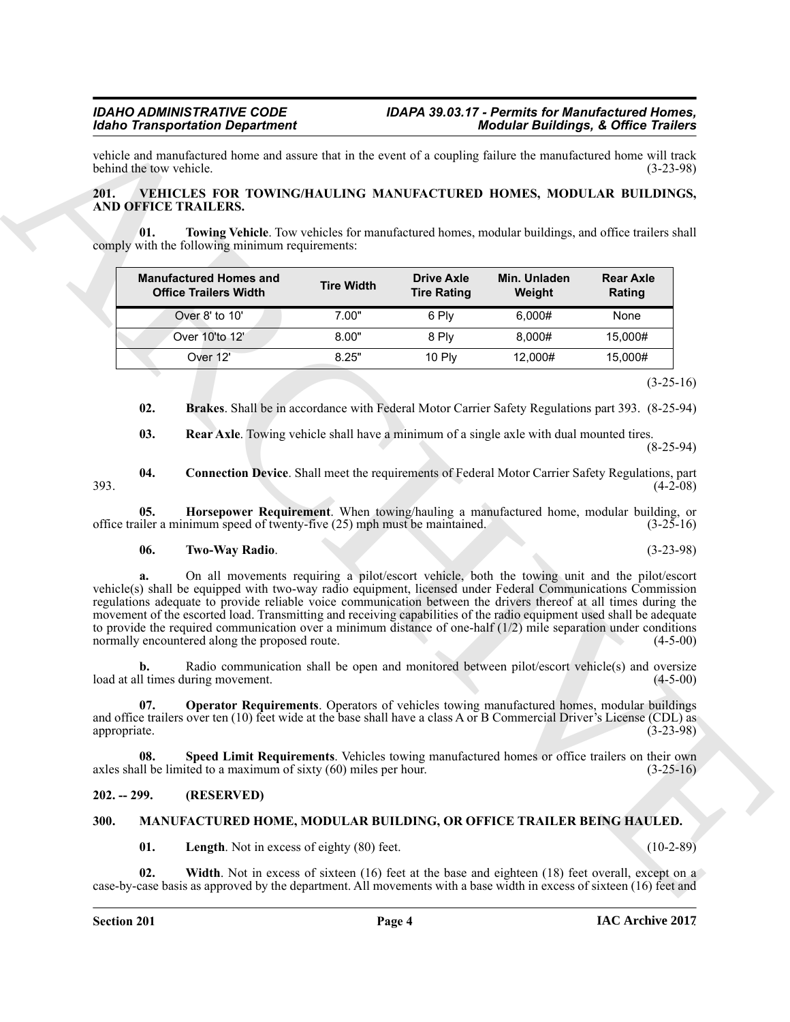#### <span id="page-3-13"></span><span id="page-3-6"></span><span id="page-3-0"></span>**201. VEHICLES FOR TOWING/HAULING MANUFACTURED HOMES, MODULAR BUILDINGS, AND OFFICE TRAILERS.**

| <b>201.</b>         | VEHICLES FOR TOWING/HAULING MANUFACTURED HOMES, MODULAR BUILDINGS,<br>AND OFFICE TRAILERS.                                                                                                                                                                                                                                                                                                                                                                                                                                                                                                                                      |                   |                                         |                        |                            |
|---------------------|---------------------------------------------------------------------------------------------------------------------------------------------------------------------------------------------------------------------------------------------------------------------------------------------------------------------------------------------------------------------------------------------------------------------------------------------------------------------------------------------------------------------------------------------------------------------------------------------------------------------------------|-------------------|-----------------------------------------|------------------------|----------------------------|
| 01.                 | Towing Vehicle. Tow vehicles for manufactured homes, modular buildings, and office trailers shall<br>comply with the following minimum requirements:                                                                                                                                                                                                                                                                                                                                                                                                                                                                            |                   |                                         |                        |                            |
|                     | <b>Manufactured Homes and</b><br><b>Office Trailers Width</b>                                                                                                                                                                                                                                                                                                                                                                                                                                                                                                                                                                   | <b>Tire Width</b> | <b>Drive Axle</b><br><b>Tire Rating</b> | Min. Unladen<br>Weight | <b>Rear Axle</b><br>Rating |
|                     | Over 8' to 10'                                                                                                                                                                                                                                                                                                                                                                                                                                                                                                                                                                                                                  | 7.00"             | 6 Ply                                   | 6,000#                 | None                       |
|                     | Over 10'to 12'                                                                                                                                                                                                                                                                                                                                                                                                                                                                                                                                                                                                                  | 8.00"             | 8 Ply                                   | 8,000#                 | 15,000#                    |
|                     | Over 12'                                                                                                                                                                                                                                                                                                                                                                                                                                                                                                                                                                                                                        | 8.25"             | 10 Ply                                  | 12,000#                | 15,000#                    |
|                     |                                                                                                                                                                                                                                                                                                                                                                                                                                                                                                                                                                                                                                 |                   |                                         |                        | $(3-25-16)$                |
| 02.                 | Brakes. Shall be in accordance with Federal Motor Carrier Safety Regulations part 393. (8-25-94)                                                                                                                                                                                                                                                                                                                                                                                                                                                                                                                                |                   |                                         |                        |                            |
| 03.                 | <b>Rear Axle.</b> Towing vehicle shall have a minimum of a single axle with dual mounted tires.                                                                                                                                                                                                                                                                                                                                                                                                                                                                                                                                 |                   |                                         |                        | $(8-25-94)$                |
| 04.<br>393.         | <b>Connection Device.</b> Shall meet the requirements of Federal Motor Carrier Safety Regulations, part                                                                                                                                                                                                                                                                                                                                                                                                                                                                                                                         |                   |                                         |                        | $(4-2-08)$                 |
| 05.                 | Horsepower Requirement. When towing/hauling a manufactured home, modular building, or<br>office trailer a minimum speed of twenty-five (25) mph must be maintained.                                                                                                                                                                                                                                                                                                                                                                                                                                                             |                   |                                         |                        | $(3-25-16)$                |
| 06.                 | <b>Two-Way Radio.</b>                                                                                                                                                                                                                                                                                                                                                                                                                                                                                                                                                                                                           |                   |                                         |                        | $(3-23-98)$                |
|                     |                                                                                                                                                                                                                                                                                                                                                                                                                                                                                                                                                                                                                                 |                   |                                         |                        |                            |
| a.                  | On all movements requiring a pilot/escort vehicle, both the towing unit and the pilot/escort<br>vehicle(s) shall be equipped with two-way radio equipment, licensed under Federal Communications Commission<br>regulations adequate to provide reliable voice communication between the drivers thereof at all times during the<br>movement of the escorted load. Transmitting and receiving capabilities of the radio equipment used shall be adequate<br>to provide the required communication over a minimum distance of one-half $(1/2)$ mile separation under conditions<br>normally encountered along the proposed route. |                   |                                         |                        | $(4-5-00)$                 |
| b.                  | Radio communication shall be open and monitored between pilot/escort vehicle(s) and oversize<br>load at all times during movement.                                                                                                                                                                                                                                                                                                                                                                                                                                                                                              |                   |                                         |                        | $(4-5-00)$                 |
| 07.<br>appropriate. | <b>Operator Requirements</b> . Operators of vehicles towing manufactured homes, modular buildings<br>and office trailers over ten (10) feet wide at the base shall have a class A or B Commercial Driver's License (CDL) as                                                                                                                                                                                                                                                                                                                                                                                                     |                   |                                         |                        | $(3-23-98)$                |
| 08.                 | Speed Limit Requirements. Vehicles towing manufactured homes or office trailers on their own<br>axles shall be limited to a maximum of sixty $(60)$ miles per hour.                                                                                                                                                                                                                                                                                                                                                                                                                                                             |                   |                                         |                        | $(3-25-16)$                |
| $202. - 299.$       | (RESERVED)                                                                                                                                                                                                                                                                                                                                                                                                                                                                                                                                                                                                                      |                   |                                         |                        |                            |
| 300.                | MANUFACTURED HOME, MODULAR BUILDING, OR OFFICE TRAILER BEING HAULED.                                                                                                                                                                                                                                                                                                                                                                                                                                                                                                                                                            |                   |                                         |                        |                            |

#### <span id="page-3-14"></span><span id="page-3-11"></span><span id="page-3-9"></span><span id="page-3-8"></span><span id="page-3-7"></span>**06. Two-Way Radio**. (3-23-98)

## <span id="page-3-12"></span><span id="page-3-10"></span><span id="page-3-1"></span>**202. -- 299. (RESERVED)**

### <span id="page-3-5"></span><span id="page-3-4"></span><span id="page-3-3"></span><span id="page-3-2"></span>**300. MANUFACTURED HOME, MODULAR BUILDING, OR OFFICE TRAILER BEING HAULED.**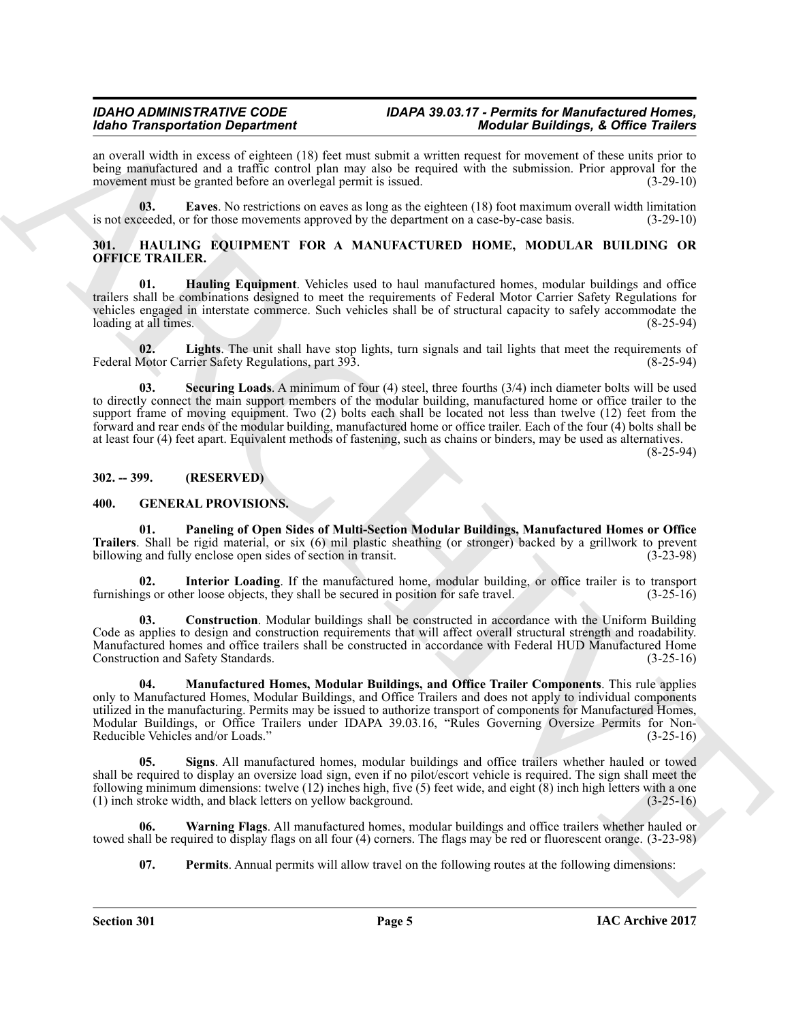#### *IDAHO ADMINISTRATIVE CODE IDAPA 39.03.17 - Permits for Manufactured Homes, Idaho Transportation Department Modular Buildings, & Office Trailers*

an overall width in excess of eighteen (18) feet must submit a written request for movement of these units prior to being manufactured and a traffic control plan may also be required with the submission. Prior approval for the movement must be granted before an overlegal permit is issued. (3-29-10)

<span id="page-4-13"></span>**03. Eaves**. No restrictions on eaves as long as the eighteen (18) foot maximum overall width limitation ceeded, or for those movements approved by the department on a case-by-case basis. (3-29-10) is not exceeded, or for those movements approved by the department on a case-by-case basis.

### <span id="page-4-9"></span><span id="page-4-0"></span>**301. HAULING EQUIPMENT FOR A MANUFACTURED HOME, MODULAR BUILDING OR OFFICE TRAILER.**

<span id="page-4-10"></span>**01. Hauling Equipment**. Vehicles used to haul manufactured homes, modular buildings and office trailers shall be combinations designed to meet the requirements of Federal Motor Carrier Safety Regulations for vehicles engaged in interstate commerce. Such vehicles shall be of structural capacity to safely accommodate the loading at all times.

<span id="page-4-11"></span>**02.** Lights. The unit shall have stop lights, turn signals and tail lights that meet the requirements of Motor Carrier Safety Regulations, part 393. Federal Motor Carrier Safety Regulations, part 393.

<span id="page-4-12"></span>**03. Securing Loads**. A minimum of four (4) steel, three fourths (3/4) inch diameter bolts will be used to directly connect the main support members of the modular building, manufactured home or office trailer to the support frame of moving equipment. Two (2) bolts each shall be located not less than twelve (12) feet from the forward and rear ends of the modular building, manufactured home or office trailer. Each of the four (4) bolts shall be at least four (4) feet apart. Equivalent methods of fastening, such as chains or binders, may be used as alternatives.

(8-25-94)

#### <span id="page-4-1"></span>**302. -- 399. (RESERVED)**

#### <span id="page-4-7"></span><span id="page-4-3"></span><span id="page-4-2"></span>**400. GENERAL PROVISIONS.**

**01. Paneling of Open Sides of Multi-Section Modular Buildings, Manufactured Homes or Office Trailers**. Shall be rigid material, or six (6) mil plastic sheathing (or stronger) backed by a grillwork to prevent billowing and fully enclose open sides of section in transit. (3-23-98) billowing and fully enclose open sides of section in transit.

<span id="page-4-5"></span>**02.** Interior Loading. If the manufactured home, modular building, or office trailer is to transport gs or other loose objects, they shall be secured in position for safe travel.  $(3-25-16)$ furnishings or other loose objects, they shall be secured in position for safe travel.

<span id="page-4-6"></span><span id="page-4-4"></span>**03. Construction**. Modular buildings shall be constructed in accordance with the Uniform Building Code as applies to design and construction requirements that will affect overall structural strength and roadability. Manufactured homes and office trailers shall be constructed in accordance with Federal HUD Manufactured Home Construction and Safety Standards.

More Transportation Department 100 bit must spatial a result of the similar spatial and the similar spatial and the system of the system of the system of the system of the system of the system of the system of the system **04. Manufactured Homes, Modular Buildings, and Office Trailer Components**. This rule applies only to Manufactured Homes, Modular Buildings, and Office Trailers and does not apply to individual components utilized in the manufacturing. Permits may be issued to authorize transport of components for Manufactured Homes, Modular Buildings, or Office Trailers under IDAPA 39.03.16, "Rules Governing Oversize Permits for Non-<br>Reducible Vehicles and/or Loads." (3-25-16) Reducible Vehicles and/or Loads."

**05. Signs**. All manufactured homes, modular buildings and office trailers whether hauled or towed shall be required to display an oversize load sign, even if no pilot/escort vehicle is required. The sign shall meet the following minimum dimensions: twelve (12) inches high, five (5) feet wide, and eight (8) inch high letters with a one (1) inch stroke width, and black letters on yellow background.  $(3-25-16)$  $(1)$  inch stroke width, and black letters on yellow background.

**06. Warning Flags**. All manufactured homes, modular buildings and office trailers whether hauled or towed shall be required to display flags on all four (4) corners. The flags may be red or fluorescent orange. (3-23-98)

<span id="page-4-14"></span><span id="page-4-8"></span>**07.** Permits. Annual permits will allow travel on the following routes at the following dimensions: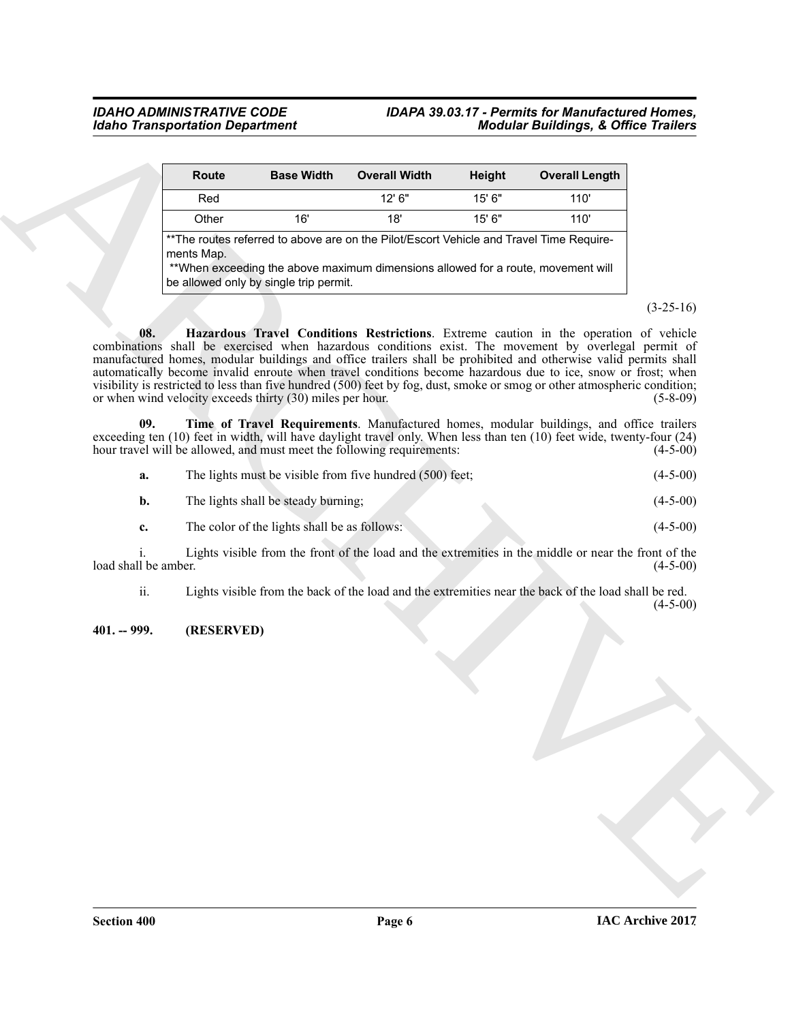#### *IDAHO ADMINISTRATIVE CODE IDAPA 39.03.17 - Permits for Manufactured Homes, Idaho Transportation Department Modular Buildings, & Office Trailers*

|                            | Route      | <b>Base Width</b>                                         | <b>Overall Width</b>                                                                                                                                                         | Height | <b>Overall Length</b>                                                                                                                                                                                                                                                                                                                                                                                                                                                                                                                                         |             |
|----------------------------|------------|-----------------------------------------------------------|------------------------------------------------------------------------------------------------------------------------------------------------------------------------------|--------|---------------------------------------------------------------------------------------------------------------------------------------------------------------------------------------------------------------------------------------------------------------------------------------------------------------------------------------------------------------------------------------------------------------------------------------------------------------------------------------------------------------------------------------------------------------|-------------|
|                            | Red        |                                                           | 12' 6"                                                                                                                                                                       | 15' 6" | 110'                                                                                                                                                                                                                                                                                                                                                                                                                                                                                                                                                          |             |
|                            | Other      | 16'                                                       | 18'                                                                                                                                                                          | 15' 6" | 110'                                                                                                                                                                                                                                                                                                                                                                                                                                                                                                                                                          |             |
|                            | ments Map. | be allowed only by single trip permit.                    | ** The routes referred to above are on the Pilot/Escort Vehicle and Travel Time Require-<br>**When exceeding the above maximum dimensions allowed for a route, movement will |        |                                                                                                                                                                                                                                                                                                                                                                                                                                                                                                                                                               |             |
|                            |            |                                                           |                                                                                                                                                                              |        |                                                                                                                                                                                                                                                                                                                                                                                                                                                                                                                                                               | $(3-25-16)$ |
| 08.                        |            | or when wind velocity exceeds thirty (30) miles per hour. |                                                                                                                                                                              |        | Hazardous Travel Conditions Restrictions. Extreme caution in the operation of vehicle<br>combinations shall be exercised when hazardous conditions exist. The movement by overlegal permit of<br>manufactured homes, modular buildings and office trailers shall be prohibited and otherwise valid permits shall<br>automatically become invalid enroute when travel conditions become hazardous due to ice, snow or frost; when<br>visibility is restricted to less than five hundred (500) feet by fog, dust, smoke or smog or other atmospheric condition; | $(5-8-09)$  |
| 09.                        |            |                                                           | hour travel will be allowed, and must meet the following requirements:                                                                                                       |        | Time of Travel Requirements. Manufactured homes, modular buildings, and office trailers<br>exceeding ten (10) feet in width, will have daylight travel only. When less than ten (10) feet wide, twenty-four (24)                                                                                                                                                                                                                                                                                                                                              | $(4-5-00)$  |
| a.                         |            |                                                           | The lights must be visible from five hundred (500) feet;                                                                                                                     |        |                                                                                                                                                                                                                                                                                                                                                                                                                                                                                                                                                               | $(4-5-00)$  |
| b.                         |            | The lights shall be steady burning;                       |                                                                                                                                                                              |        |                                                                                                                                                                                                                                                                                                                                                                                                                                                                                                                                                               | $(4-5-00)$  |
| c.                         |            | The color of the lights shall be as follows:              |                                                                                                                                                                              |        |                                                                                                                                                                                                                                                                                                                                                                                                                                                                                                                                                               | $(4-5-00)$  |
| 1.<br>load shall be amber. |            |                                                           |                                                                                                                                                                              |        | Lights visible from the front of the load and the extremities in the middle or near the front of the                                                                                                                                                                                                                                                                                                                                                                                                                                                          | $(4-5-00)$  |
| ii.                        |            |                                                           |                                                                                                                                                                              |        | Lights visible from the back of the load and the extremities near the back of the load shall be red.                                                                                                                                                                                                                                                                                                                                                                                                                                                          | $(4-5-00)$  |
| $401. - 999.$              | (RESERVED) |                                                           |                                                                                                                                                                              |        |                                                                                                                                                                                                                                                                                                                                                                                                                                                                                                                                                               |             |
|                            |            |                                                           |                                                                                                                                                                              |        |                                                                                                                                                                                                                                                                                                                                                                                                                                                                                                                                                               |             |
|                            |            |                                                           |                                                                                                                                                                              |        |                                                                                                                                                                                                                                                                                                                                                                                                                                                                                                                                                               |             |

<span id="page-5-2"></span><span id="page-5-1"></span>

| а. | The lights must be visible from five hundred (500) feet; | $(4-5-00)$ |
|----|----------------------------------------------------------|------------|
|----|----------------------------------------------------------|------------|

- **b.** The lights shall be steady burning; (4-5-00)
- **c.** The color of the lights shall be as follows: (4-5-00)

### <span id="page-5-0"></span>**401. -- 999. (RESERVED)**